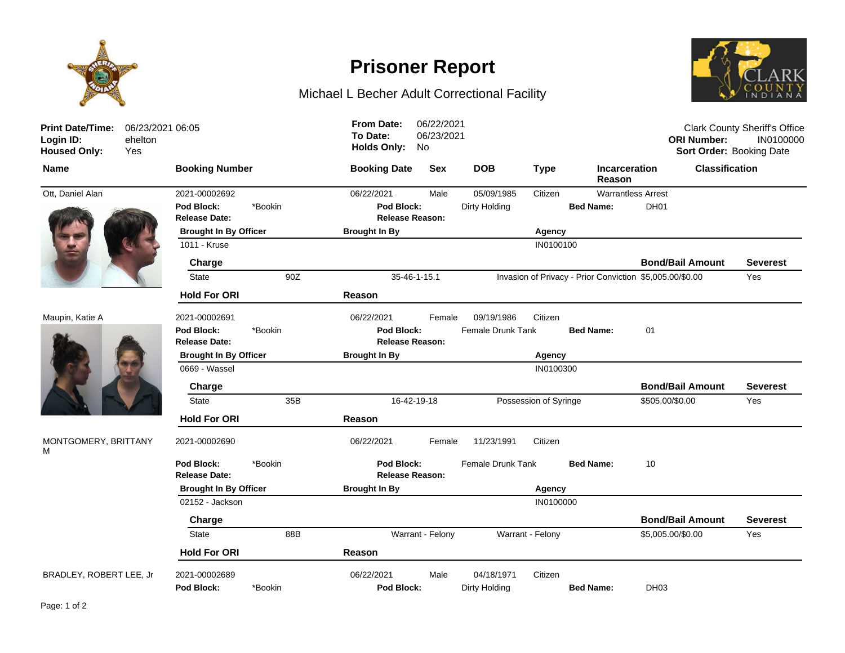

## **Prisoner Report**

## Michael L Becher Adult Correctional Facility



| <b>Print Date/Time:</b><br>Login ID:<br>ehelton<br><b>Housed Only:</b><br>Yes | 06/23/2021 06:05                   |         | <b>From Date:</b><br>To Date:<br><b>Holds Only:</b> | 06/22/2021<br>06/23/2021<br>No |                          |                       |                                                          | <b>ORI Number:</b>      | <b>Clark County Sheriff's Office</b><br>IN0100000<br>Sort Order: Booking Date |
|-------------------------------------------------------------------------------|------------------------------------|---------|-----------------------------------------------------|--------------------------------|--------------------------|-----------------------|----------------------------------------------------------|-------------------------|-------------------------------------------------------------------------------|
| <b>Name</b>                                                                   | <b>Booking Number</b>              |         | <b>Booking Date</b>                                 | <b>Sex</b>                     | <b>DOB</b>               | <b>Type</b>           | <b>Incarceration</b><br>Reason                           | <b>Classification</b>   |                                                                               |
| Ott, Daniel Alan                                                              | 2021-00002692                      |         | 06/22/2021                                          | Male                           | 05/09/1985               | Citizen               | <b>Warrantless Arrest</b>                                |                         |                                                                               |
|                                                                               | Pod Block:<br><b>Release Date:</b> | *Bookin | Pod Block:<br><b>Release Reason:</b>                |                                | Dirty Holding            |                       | <b>Bed Name:</b>                                         | DH <sub>01</sub>        |                                                                               |
|                                                                               | <b>Brought In By Officer</b>       |         | <b>Brought In By</b>                                |                                |                          | Agency                |                                                          |                         |                                                                               |
|                                                                               | 1011 - Kruse                       |         |                                                     |                                |                          | IN0100100             |                                                          |                         |                                                                               |
|                                                                               | Charge                             |         |                                                     |                                |                          |                       |                                                          | <b>Bond/Bail Amount</b> | <b>Severest</b>                                                               |
|                                                                               | <b>State</b>                       | 90Z     | 35-46-1-15.1                                        |                                |                          |                       | Invasion of Privacy - Prior Conviction \$5,005.00/\$0.00 |                         | Yes                                                                           |
|                                                                               | <b>Hold For ORI</b>                |         | Reason                                              |                                |                          |                       |                                                          |                         |                                                                               |
| Maupin, Katie A                                                               | 2021-00002691                      |         | 06/22/2021                                          | Female                         | 09/19/1986               | Citizen               |                                                          |                         |                                                                               |
|                                                                               | Pod Block:                         | *Bookin | Pod Block:                                          |                                | <b>Female Drunk Tank</b> |                       | <b>Bed Name:</b>                                         | 01                      |                                                                               |
|                                                                               | <b>Release Date:</b>               |         | <b>Release Reason:</b>                              |                                |                          |                       |                                                          |                         |                                                                               |
|                                                                               | <b>Brought In By Officer</b>       |         | <b>Brought In By</b>                                |                                |                          | Agency                |                                                          |                         |                                                                               |
|                                                                               | 0669 - Wassel                      |         |                                                     |                                |                          | IN0100300             |                                                          |                         |                                                                               |
|                                                                               | Charge                             |         |                                                     |                                |                          |                       |                                                          | <b>Bond/Bail Amount</b> | <b>Severest</b>                                                               |
|                                                                               | <b>State</b>                       | 35B     | 16-42-19-18                                         |                                |                          | Possession of Syringe |                                                          | \$505.00/\$0.00         | Yes                                                                           |
|                                                                               | <b>Hold For ORI</b>                |         | Reason                                              |                                |                          |                       |                                                          |                         |                                                                               |
| MONTGOMERY, BRITTANY<br>М                                                     | 2021-00002690                      |         | 06/22/2021                                          | Female                         | 11/23/1991               | Citizen               |                                                          |                         |                                                                               |
|                                                                               | Pod Block:<br><b>Release Date:</b> | *Bookin | Pod Block:<br><b>Release Reason:</b>                |                                | Female Drunk Tank        |                       | <b>Bed Name:</b>                                         | 10                      |                                                                               |
|                                                                               | <b>Brought In By Officer</b>       |         | <b>Brought In By</b>                                |                                |                          | Agency                |                                                          |                         |                                                                               |
|                                                                               | 02152 - Jackson                    |         |                                                     |                                |                          | IN0100000             |                                                          |                         |                                                                               |
|                                                                               | Charge                             |         |                                                     |                                |                          |                       |                                                          | <b>Bond/Bail Amount</b> | <b>Severest</b>                                                               |
|                                                                               | <b>State</b>                       | 88B     |                                                     | Warrant - Felony               |                          | Warrant - Felony      |                                                          | \$5,005.00/\$0.00       | Yes                                                                           |
|                                                                               | <b>Hold For ORI</b>                |         | Reason                                              |                                |                          |                       |                                                          |                         |                                                                               |
| BRADLEY, ROBERT LEE, Jr                                                       | 2021-00002689                      |         | 06/22/2021                                          | Male                           | 04/18/1971               | Citizen               |                                                          |                         |                                                                               |
|                                                                               | Pod Block:                         | *Bookin | Pod Block:                                          |                                | Dirty Holding            |                       | <b>Bed Name:</b>                                         | DH <sub>03</sub>        |                                                                               |